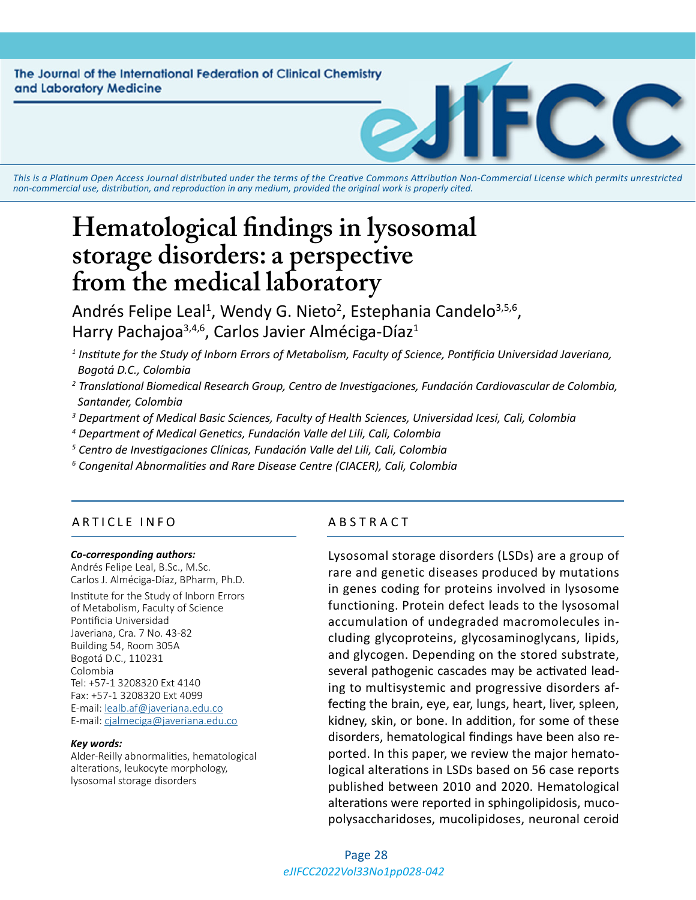The Journal of the International Federation of Clinical Chemistry and Laboratory Medicine

*This is a Platinum Open Access Journal distributed under the terms of the [Creative Commons Attribution Non-Commercial License](https://creativecommons.org/licenses/by-nc/4.0/) which permits unrestricted non-commercial use, distribution, and reproduction in any medium, provided the original work is properly cited.*

# **Hematological findings in lysosomal storage disorders: a perspective from the medical laboratory**

Andrés Felipe Leal<sup>1</sup>, Wendy G. Nieto<sup>2</sup>, Estephania Candelo<sup>3,5,6</sup>, Harry Pachajoa<sup>3,4,6</sup>, Carlos Javier Alméciga-Díaz<sup>1</sup>

- *1 Institute for the Study of Inborn Errors of Metabolism, Faculty of Science, Pontificia Universidad Javeriana, Bogotá D.C., Colombia*
- *2 Translational Biomedical Research Group, Centro de Investigaciones, Fundación Cardiovascular de Colombia, Santander, Colombia*
- *3 Department of Medical Basic Sciences, Faculty of Health Sciences, Universidad Icesi, Cali, Colombia*
- *4 Department of Medical Genetics, Fundación Valle del Lili, Cali, Colombia*
- *5 Centro de Investigaciones Clínicas, Fundación Valle del Lili, Cali, Colombia*
- *6 Congenital Abnormalities and Rare Disease Centre (CIACER), Cali, Colombia*

#### ARTICLE INFO ABSTRACT

#### *Co-corresponding authors:*

Andrés Felipe Leal, B.Sc., M.Sc. Carlos J. Alméciga-Díaz, BPharm, Ph.D. Institute for the Study of Inborn Errors of Metabolism, Faculty of Science Pontificia Universidad Javeriana, Cra. 7 No. 43-82 Building 54, Room 305A Bogotá D.C., 110231 Colombia Tel: +57-1 3208320 Ext 4140 Fax: +57-1 3208320 Ext 4099 E-mail: [lealb.af@javeriana.edu.co](mailto:lealb.af%40javeriana.edu.co?subject=) E-mail: [cjalmeciga@javeriana.edu.co](mailto:cjalmeciga%40javeriana.edu.co?subject=)

#### *Key words:*

Alder-Reilly abnormalities, hematological alterations, leukocyte morphology, lysosomal storage disorders

Lysosomal storage disorders (LSDs) are a group of rare and genetic diseases produced by mutations in genes coding for proteins involved in lysosome functioning. Protein defect leads to the lysosomal accumulation of undegraded macromolecules including glycoproteins, glycosaminoglycans, lipids, and glycogen. Depending on the stored substrate, several pathogenic cascades may be activated leading to multisystemic and progressive disorders affecting the brain, eye, ear, lungs, heart, liver, spleen, kidney, skin, or bone. In addition, for some of these disorders, hematological findings have been also reported. In this paper, we review the major hematological alterations in LSDs based on 56 case reports published between 2010 and 2020. Hematological alterations were reported in sphingolipidosis, mucopolysaccharidoses, mucolipidoses, neuronal ceroid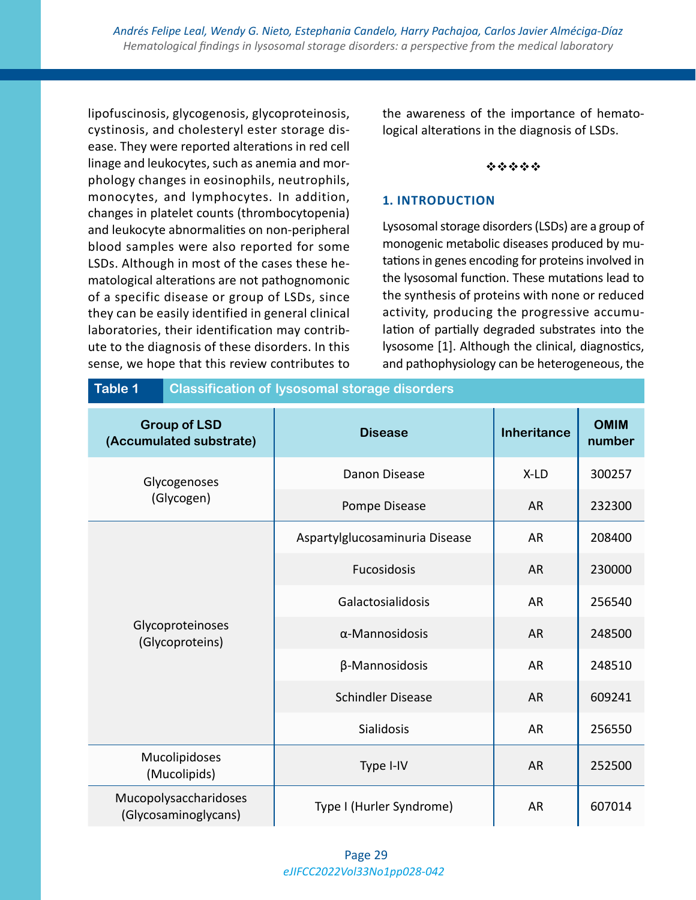lipofuscinosis, glycogenosis, glycoproteinosis, cystinosis, and cholesteryl ester storage disease. They were reported alterations in red cell linage and leukocytes, such as anemia and morphology changes in eosinophils, neutrophils, monocytes, and lymphocytes. In addition, changes in platelet counts (thrombocytopenia) and leukocyte abnormalities on non-peripheral blood samples were also reported for some LSDs. Although in most of the cases these hematological alterations are not pathognomonic of a specific disease or group of LSDs, since they can be easily identified in general clinical laboratories, their identification may contribute to the diagnosis of these disorders. In this sense, we hope that this review contributes to the awareness of the importance of hematological alterations in the diagnosis of LSDs.

#### \*\*\*\*\*

#### **1. INTRODUCTION**

Lysosomal storage disorders (LSDs) are a group of monogenic metabolic diseases produced by mutations in genes encoding for proteins involved in the lysosomal function. These mutations lead to the synthesis of proteins with none or reduced activity, producing the progressive accumulation of partially degraded substrates into the lysosome [1]. Although the clinical, diagnostics, and pathophysiology can be heterogeneous, the

| Table 1                                        | <b>Classification of lysosomal storage disorders</b> |                                |                    |                       |  |  |  |  |
|------------------------------------------------|------------------------------------------------------|--------------------------------|--------------------|-----------------------|--|--|--|--|
| <b>Group of LSD</b><br>(Accumulated substrate) |                                                      | <b>Disease</b>                 | <b>Inheritance</b> | <b>OMIM</b><br>number |  |  |  |  |
| Glycogenoses<br>(Glycogen)                     |                                                      | Danon Disease                  | X-LD               | 300257                |  |  |  |  |
|                                                |                                                      | Pompe Disease                  | <b>AR</b>          | 232300                |  |  |  |  |
|                                                |                                                      | Aspartylglucosaminuria Disease | <b>AR</b>          | 208400                |  |  |  |  |
|                                                |                                                      | Fucosidosis                    | <b>AR</b>          | 230000                |  |  |  |  |
|                                                |                                                      | Galactosialidosis              | <b>AR</b>          | 256540                |  |  |  |  |
| Glycoproteinoses<br>(Glycoproteins)            |                                                      | $\alpha$ -Mannosidosis         | <b>AR</b>          | 248500                |  |  |  |  |
|                                                |                                                      | β-Mannosidosis                 | <b>AR</b>          | 248510                |  |  |  |  |
|                                                |                                                      | <b>Schindler Disease</b>       | <b>AR</b>          | 609241                |  |  |  |  |
|                                                |                                                      | <b>Sialidosis</b>              | <b>AR</b>          | 256550                |  |  |  |  |
|                                                | Mucolipidoses<br>Type I-IV<br>(Mucolipids)           |                                |                    | 252500                |  |  |  |  |
| Mucopolysaccharidoses<br>(Glycosaminoglycans)  |                                                      | Type I (Hurler Syndrome)       | <b>AR</b>          | 607014                |  |  |  |  |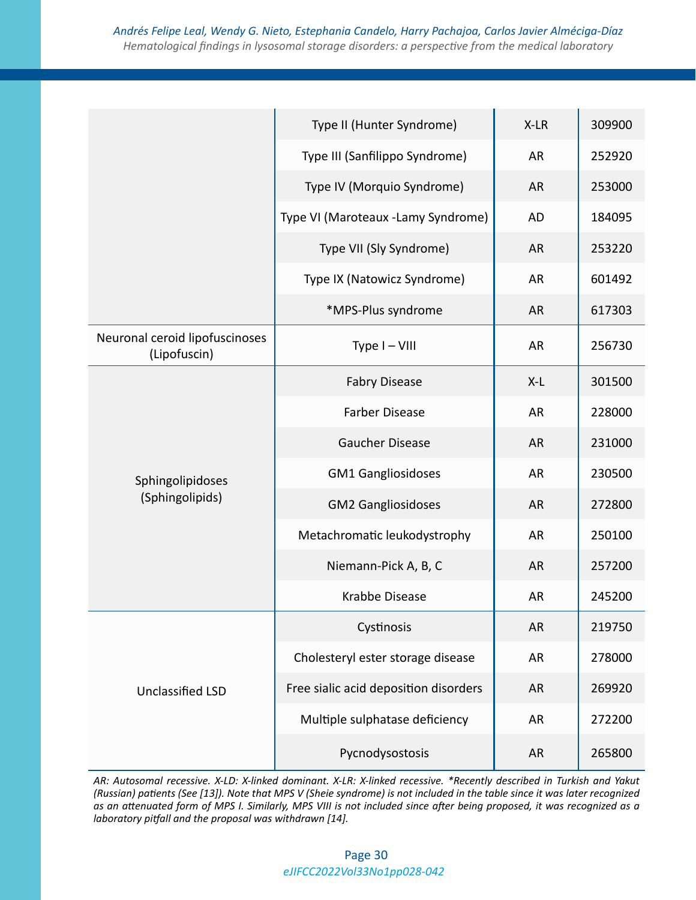|                                                | Type II (Hunter Syndrome)             | X-LR      | 309900 |
|------------------------------------------------|---------------------------------------|-----------|--------|
|                                                | Type III (Sanfilippo Syndrome)        | AR        | 252920 |
|                                                | Type IV (Morquio Syndrome)            | <b>AR</b> | 253000 |
|                                                | Type VI (Maroteaux -Lamy Syndrome)    | <b>AD</b> | 184095 |
|                                                | Type VII (Sly Syndrome)               | <b>AR</b> | 253220 |
|                                                | Type IX (Natowicz Syndrome)           | AR        | 601492 |
|                                                | *MPS-Plus syndrome                    | <b>AR</b> | 617303 |
| Neuronal ceroid lipofuscinoses<br>(Lipofuscin) | Type I-VIII                           | AR        | 256730 |
|                                                | <b>Fabry Disease</b>                  | $X-L$     | 301500 |
|                                                | <b>Farber Disease</b>                 | <b>AR</b> | 228000 |
|                                                | <b>Gaucher Disease</b>                | <b>AR</b> | 231000 |
| Sphingolipidoses                               | <b>GM1 Gangliosidoses</b>             | <b>AR</b> | 230500 |
| (Sphingolipids)                                | <b>GM2 Gangliosidoses</b>             | <b>AR</b> | 272800 |
|                                                | Metachromatic leukodystrophy          | <b>AR</b> | 250100 |
|                                                | Niemann-Pick A, B, C                  | <b>AR</b> | 257200 |
|                                                | Krabbe Disease                        | AR        | 245200 |
|                                                | Cystinosis                            | <b>AR</b> | 219750 |
|                                                | Cholesteryl ester storage disease     | AR        | 278000 |
| <b>Unclassified LSD</b>                        | Free sialic acid deposition disorders | <b>AR</b> | 269920 |
|                                                | Multiple sulphatase deficiency        | <b>AR</b> | 272200 |
|                                                | Pycnodysostosis                       | AR        | 265800 |

*AR: Autosomal recessive. X-LD: X-linked dominant. X-LR: X-linked recessive. \*Recently described in Turkish and Yakut (Russian) patients (See [13]). Note that MPS V (Sheie syndrome) is not included in the table since it was later recognized as an attenuated form of MPS I. Similarly, MPS VIII is not included since after being proposed, it was recognized as a laboratory pitfall and the proposal was withdrawn [14].*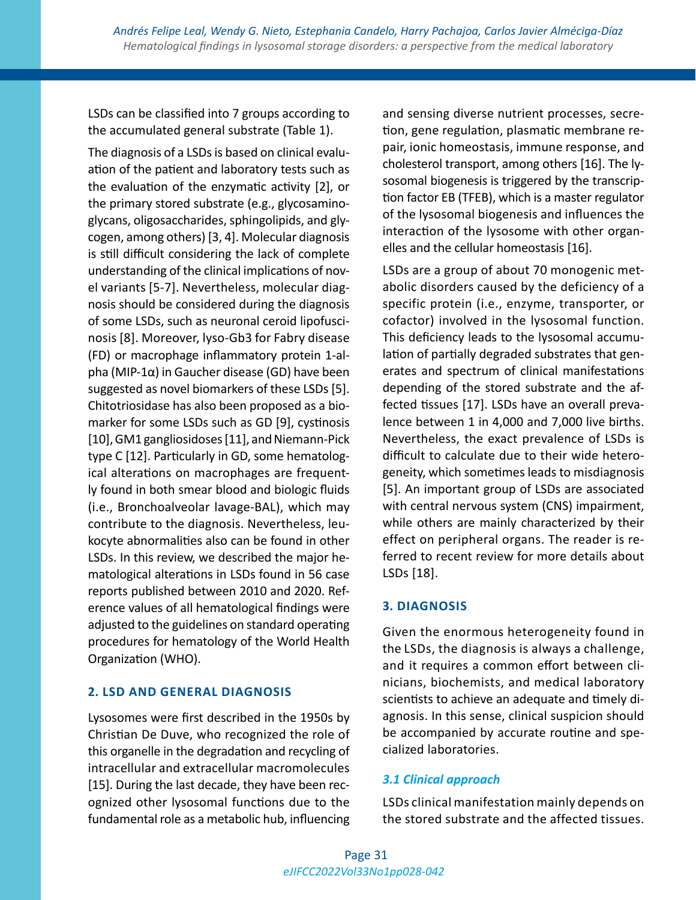LSDs can be classified into 7 groups according to the accumulated general substrate (Table 1).

The diagnosis of a LSDs is based on clinical evaluation of the patient and laboratory tests such as the evaluation of the enzymatic activity [2], or the primary stored substrate (e.g., glycosaminoglycans, oligosaccharides, sphingolipids, and glycogen, among others) [3, 4]. Molecular diagnosis is still difficult considering the lack of complete understanding of the clinical implications of novel variants [5-7]. Nevertheless, molecular diagnosis should be considered during the diagnosis of some LSDs, such as neuronal ceroid lipofuscinosis [8]. Moreover, lyso-Gb3 for Fabry disease (FD) or macrophage inflammatory protein 1-alpha (MIP-1α) in Gaucher disease (GD) have been suggested as novel biomarkers of these LSDs [5]. Chitotriosidase has also been proposed as a biomarker for some LSDs such as GD [9], cystinosis [10], GM1 gangliosidoses [11], and Niemann-Pick type C [12]. Particularly in GD, some hematological alterations on macrophages are frequently found in both smear blood and biologic fluids (i.e., Bronchoalveolar lavage-BAL), which may contribute to the diagnosis. Nevertheless, leukocyte abnormalities also can be found in other LSDs. In this review, we described the major hematological alterations in LSDs found in 56 case reports published between 2010 and 2020. Reference values of all hematological findings were adjusted to the guidelines on standard operating procedures for hematology of the World Health Organization (WHO).

#### **2. LSD AND GENERAL DIAGNOSIS**

Lysosomes were first described in the 1950s by Christian De Duve, who recognized the role of this organelle in the degradation and recycling of intracellular and extracellular macromolecules [15]. During the last decade, they have been recognized other lysosomal functions due to the fundamental role as a metabolic hub, influencing

and sensing diverse nutrient processes, secretion, gene regulation, plasmatic membrane repair, ionic homeostasis, immune response, and cholesterol transport, among others [16]. The lysosomal biogenesis is triggered by the transcription factor EB (TFEB), which is a master regulator of the lysosomal biogenesis and influences the interaction of the lysosome with other organelles and the cellular homeostasis [16].

LSDs are a group of about 70 monogenic metabolic disorders caused by the deficiency of a specific protein (i.e., enzyme, transporter, or cofactor) involved in the lysosomal function. This deficiency leads to the lysosomal accumulation of partially degraded substrates that generates and spectrum of clinical manifestations depending of the stored substrate and the affected tissues [17]. LSDs have an overall prevalence between 1 in 4,000 and 7,000 live births. Nevertheless, the exact prevalence of LSDs is difficult to calculate due to their wide heterogeneity, which sometimes leads to misdiagnosis [5]. An important group of LSDs are associated with central nervous system (CNS) impairment, while others are mainly characterized by their effect on peripheral organs. The reader is referred to recent review for more details about LSDs [18].

#### **3. DIAGNOSIS**

Given the enormous heterogeneity found in the LSDs, the diagnosis is always a challenge, and it requires a common effort between clinicians, biochemists, and medical laboratory scientists to achieve an adequate and timely diagnosis. In this sense, clinical suspicion should be accompanied by accurate routine and specialized laboratories.

#### *3.1 Clinical approach*

LSDs clinical manifestation mainly depends on the stored substrate and the affected tissues.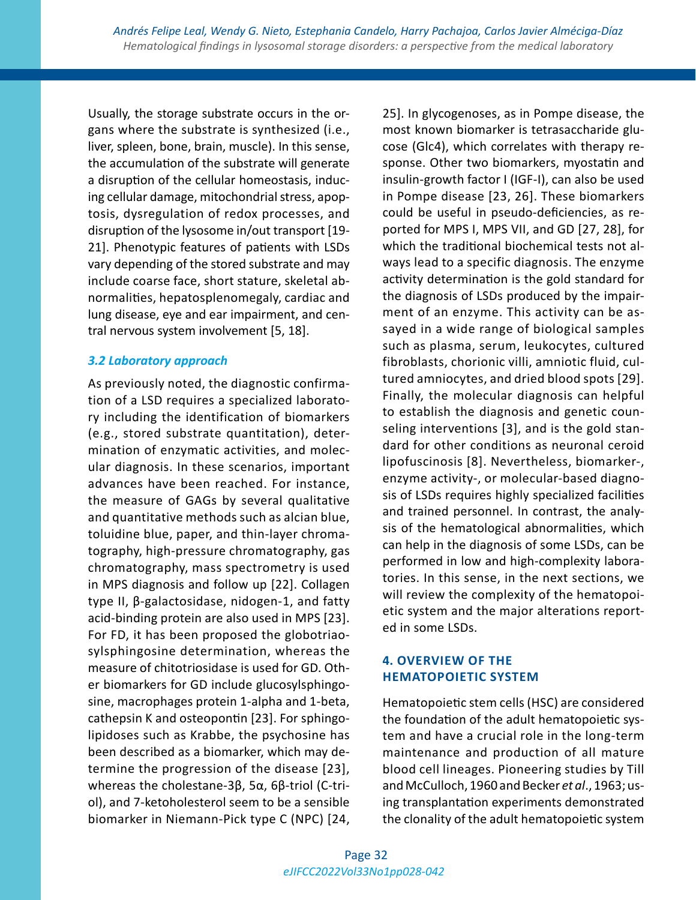Usually, the storage substrate occurs in the organs where the substrate is synthesized (i.e., liver, spleen, bone, brain, muscle). In this sense, the accumulation of the substrate will generate a disruption of the cellular homeostasis, inducing cellular damage, mitochondrial stress, apoptosis, dysregulation of redox processes, and disruption of the lysosome in/out transport [19- 21]. Phenotypic features of patients with LSDs vary depending of the stored substrate and may include coarse face, short stature, skeletal abnormalities, hepatosplenomegaly, cardiac and lung disease, eye and ear impairment, and central nervous system involvement [5, 18].

#### *3.2 Laboratory approach*

As previously noted, the diagnostic confirmation of a LSD requires a specialized laboratory including the identification of biomarkers (e.g., stored substrate quantitation), determination of enzymatic activities, and molecular diagnosis. In these scenarios, important advances have been reached. For instance, the measure of GAGs by several qualitative and quantitative methods such as alcian blue, toluidine blue, paper, and thin-layer chromatography, high-pressure chromatography, gas chromatography, mass spectrometry is used in MPS diagnosis and follow up [22]. Collagen type II, β-galactosidase, nidogen-1, and fatty acid-binding protein are also used in MPS [23]. For FD, it has been proposed the globotriaosylsphingosine determination, whereas the measure of chitotriosidase is used for GD. Other biomarkers for GD include glucosylsphingosine, macrophages protein 1-alpha and 1-beta, cathepsin K and osteopontin [23]. For sphingolipidoses such as Krabbe, the psychosine has been described as a biomarker, which may determine the progression of the disease [23], whereas the cholestane-3β, 5α, 6β-triol (C-triol), and 7-ketoholesterol seem to be a sensible biomarker in Niemann-Pick type C (NPC) [24, 25]. In glycogenoses, as in Pompe disease, the most known biomarker is tetrasaccharide glucose (Glc4), which correlates with therapy response. Other two biomarkers, myostatin and insulin-growth factor I (IGF-I), can also be used in Pompe disease [23, 26]. These biomarkers could be useful in pseudo-deficiencies, as reported for MPS I, MPS VII, and GD [27, 28], for which the traditional biochemical tests not always lead to a specific diagnosis. The enzyme activity determination is the gold standard for the diagnosis of LSDs produced by the impairment of an enzyme. This activity can be assayed in a wide range of biological samples such as plasma, serum, leukocytes, cultured fibroblasts, chorionic villi, amniotic fluid, cultured amniocytes, and dried blood spots [29]. Finally, the molecular diagnosis can helpful to establish the diagnosis and genetic counseling interventions [3], and is the gold standard for other conditions as neuronal ceroid lipofuscinosis [8]. Nevertheless, biomarker-, enzyme activity-, or molecular-based diagnosis of LSDs requires highly specialized facilities and trained personnel. In contrast, the analysis of the hematological abnormalities, which can help in the diagnosis of some LSDs, can be performed in low and high-complexity laboratories. In this sense, in the next sections, we will review the complexity of the hematopoietic system and the major alterations reported in some LSDs.

# **4. OVERVIEW OF THE HEMATOPOIETIC SYSTEM**

Hematopoietic stem cells (HSC) are considered the foundation of the adult hematopoietic system and have a crucial role in the long-term maintenance and production of all mature blood cell lineages. Pioneering studies by Till and McCulloch, 1960 and Becker *et al*., 1963; using transplantation experiments demonstrated the clonality of the adult hematopoietic system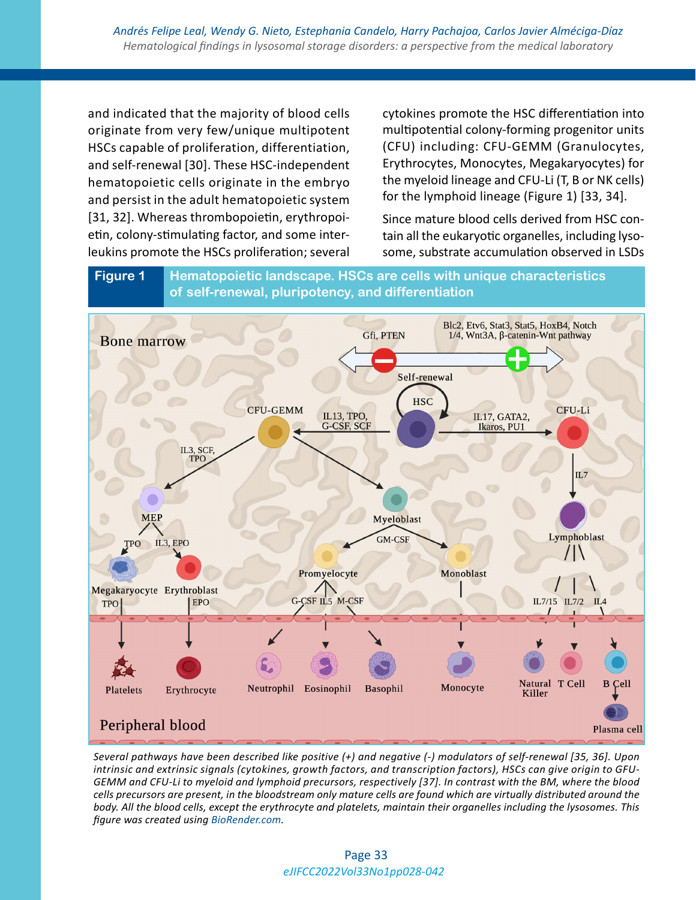and indicated that the majority of blood cells originate from very few/unique multipotent HSCs capable of proliferation, differentiation, and self-renewal [30]. These HSC-independent hematopoietic cells originate in the embryo and persist in the adult hematopoietic system [31, 32]. Whereas thrombopoietin, erythropoietin, colony-stimulating factor, and some interleukins promote the HSCs proliferation; several

cytokines promote the HSC differentiation into multipotential colony-forming progenitor units (CFU) including: CFU-GEMM (Granulocytes, Erythrocytes, Monocytes, Megakaryocytes) for the myeloid lineage and CFU-Li (T, B or NK cells) for the lymphoid lineage (Figure 1) [33, 34].

Since mature blood cells derived from HSC contain all the eukaryotic organelles, including lysosome, substrate accumulation observed in LSDs

**Figure 1 Hematopoietic landscape. HSCs are cells with unique characteristics of self-renewal, pluripotency, and differentiation**



*Several pathways have been described like positive (+) and negative (-) modulators of self-renewal [35, 36]. Upon intrinsic and extrinsic signals (cytokines, growth factors, and transcription factors), HSCs can give origin to GFU-GEMM and CFU-Li to myeloid and lymphoid precursors, respectively [37]. In contrast with the BM, where the blood cells precursors are present, in the bloodstream only mature cells are found which are virtually distributed around the body. All the blood cells, except the erythrocyte and platelets, maintain their organelles including the lysosomes. This figure was created using [BioRender.com](http://BioRender.com).*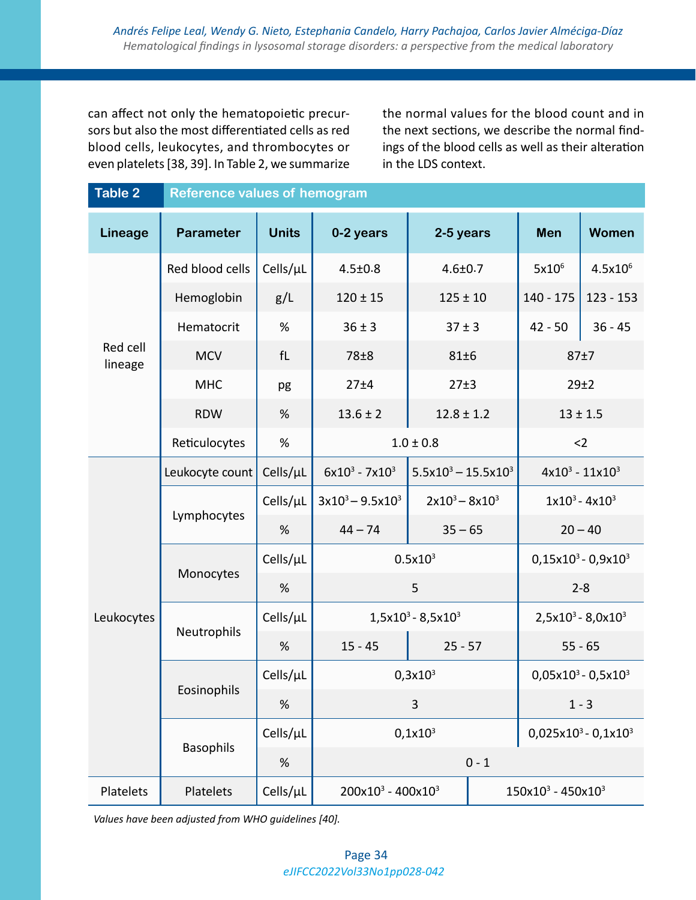can affect not only the hematopoietic precursors but also the most differentiated cells as red blood cells, leukocytes, and thrombocytes or even platelets [38, 39]. In Table 2, we summarize

the normal values for the blood count and in the next sections, we describe the normal findings of the blood cells as well as their alteration in the LDS context.

| <b>Table 2</b>      | <b>Reference values of hemogram</b> |              |                                |                        |                        |                         |              |  |
|---------------------|-------------------------------------|--------------|--------------------------------|------------------------|------------------------|-------------------------|--------------|--|
| Lineage             | <b>Parameter</b>                    | <b>Units</b> | 0-2 years                      | 2-5 years              |                        | Men                     | <b>Women</b> |  |
| Red cell<br>lineage | Red blood cells                     | Cells/µL     | $4.5 \pm 0.8$                  | $4.6 \pm 0.7$          | $5x10^6$               |                         | $4.5x10^{6}$ |  |
|                     | Hemoglobin                          | g/L          | $120 \pm 15$                   | $125 \pm 10$           | 140 - 175              |                         | $123 - 153$  |  |
|                     | Hematocrit                          | %            | $36 \pm 3$                     | $37 \pm 3$             |                        | $42 - 50$               | $36 - 45$    |  |
|                     | <b>MCV</b>                          | fL           | 78±8<br>81±6                   |                        | 87±7                   |                         |              |  |
|                     | <b>MHC</b>                          | pg           | 27±4                           | 27±3                   |                        | 29±2                    |              |  |
|                     | <b>RDW</b>                          | %            | $13.6 \pm 2$<br>$12.8 \pm 1.2$ |                        |                        | $13 \pm 1.5$            |              |  |
|                     | Reticulocytes                       | $\%$         | $1.0 \pm 0.8$                  |                        |                        | $<$ 2                   |              |  |
|                     | Leukocyte count                     | Cells/µL     | $6x10^3 - 7x10^3$              | $5.5x10^3 - 15.5x10^3$ |                        | $4x10^3 - 11x10^3$      |              |  |
|                     | Lymphocytes                         | Cells/µL     | $3x10^3 - 9.5x10^3$            | $2x10^3 - 8x10^3$      |                        | $1x10^3 - 4x10^3$       |              |  |
|                     |                                     | %            | $44 - 74$                      | $35 - 65$              |                        | $20 - 40$               |              |  |
|                     |                                     | Cells/µL     | $0.5x10^3$                     |                        |                        | $0,15x10^3 - 0,9x10^3$  |              |  |
|                     | Monocytes                           | %            | 5                              |                        |                        | $2 - 8$                 |              |  |
| Leukocytes          | Neutrophils                         | Cells/µL     | $1,5x10^3 - 8,5x10^3$          |                        | $2,5x10^3 - 8,0x10^3$  |                         |              |  |
|                     |                                     | %            | $15 - 45$                      | $25 - 57$              | $55 - 65$              |                         |              |  |
|                     | Eosinophils                         | Cells/µL     | $0,3x10^3$                     |                        | $0,05x10^3 - 0,5x10^3$ |                         |              |  |
|                     |                                     | $\%$         | 3                              |                        | $1 - 3$                |                         |              |  |
|                     | <b>Basophils</b>                    | Cells/µL     | $0,1x10^3$                     |                        |                        | $0,025x10^3 - 0,1x10^3$ |              |  |
|                     |                                     | %            | $0 - 1$                        |                        |                        |                         |              |  |
| Platelets           | Platelets                           | Cells/µL     | $200x10^3 - 400x10^3$          |                        |                        | $150x10^3 - 450x10^3$   |              |  |

*Values have been adjusted from WHO guidelines [40].*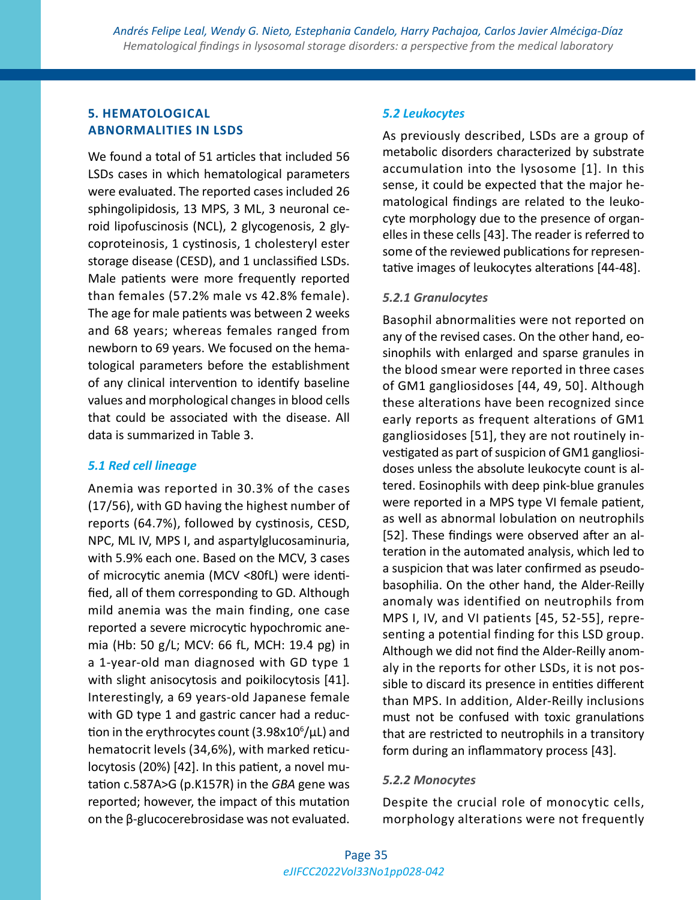# **5. HEMATOLOGICAL ABNORMALITIES IN LSDS**

We found a total of 51 articles that included 56 LSDs cases in which hematological parameters were evaluated. The reported cases included 26 sphingolipidosis, 13 MPS, 3 ML, 3 neuronal ceroid lipofuscinosis (NCL), 2 glycogenosis, 2 glycoproteinosis, 1 cystinosis, 1 cholesteryl ester storage disease (CESD), and 1 unclassified LSDs. Male patients were more frequently reported than females (57.2% male vs 42.8% female). The age for male patients was between 2 weeks and 68 years; whereas females ranged from newborn to 69 years. We focused on the hematological parameters before the establishment of any clinical intervention to identify baseline values and morphological changes in blood cells that could be associated with the disease. All data is summarized in Table 3.

### *5.1 Red cell lineage*

Anemia was reported in 30.3% of the cases (17/56), with GD having the highest number of reports (64.7%), followed by cystinosis, CESD, NPC, ML IV, MPS I, and aspartylglucosaminuria, with 5.9% each one. Based on the MCV, 3 cases of microcytic anemia (MCV <80fL) were identified, all of them corresponding to GD. Although mild anemia was the main finding, one case reported a severe microcytic hypochromic anemia (Hb: 50 g/L; MCV: 66 fL, MCH: 19.4 pg) in a 1-year-old man diagnosed with GD type 1 with slight anisocytosis and poikilocytosis [41]. Interestingly, a 69 years-old Japanese female with GD type 1 and gastric cancer had a reduction in the erythrocytes count (3.98x10<sup>6</sup>/µL) and hematocrit levels (34,6%), with marked reticulocytosis (20%) [42]. In this patient, a novel mutation c.587A>G (p.K157R) in the *GBA* gene was reported; however, the impact of this mutation on the β-glucocerebrosidase was not evaluated.

#### *5.2 Leukocytes*

As previously described, LSDs are a group of metabolic disorders characterized by substrate accumulation into the lysosome [1]. In this sense, it could be expected that the major hematological findings are related to the leukocyte morphology due to the presence of organelles in these cells [43]. The reader is referred to some of the reviewed publications for representative images of leukocytes alterations [44-48].

#### *5.2.1 Granulocytes*

Basophil abnormalities were not reported on any of the revised cases. On the other hand, eosinophils with enlarged and sparse granules in the blood smear were reported in three cases of GM1 gangliosidoses [44, 49, 50]. Although these alterations have been recognized since early reports as frequent alterations of GM1 gangliosidoses [51], they are not routinely investigated as part of suspicion of GM1 gangliosidoses unless the absolute leukocyte count is altered. Eosinophils with deep pink-blue granules were reported in a MPS type VI female patient, as well as abnormal lobulation on neutrophils [52]. These findings were observed after an alteration in the automated analysis, which led to a suspicion that was later confirmed as pseudobasophilia. On the other hand, the Alder-Reilly anomaly was identified on neutrophils from MPS I, IV, and VI patients [45, 52-55], representing a potential finding for this LSD group. Although we did not find the Alder-Reilly anomaly in the reports for other LSDs, it is not possible to discard its presence in entities different than MPS. In addition, Alder-Reilly inclusions must not be confused with toxic granulations that are restricted to neutrophils in a transitory form during an inflammatory process [43].

#### *5.2.2 Monocytes*

Despite the crucial role of monocytic cells, morphology alterations were not frequently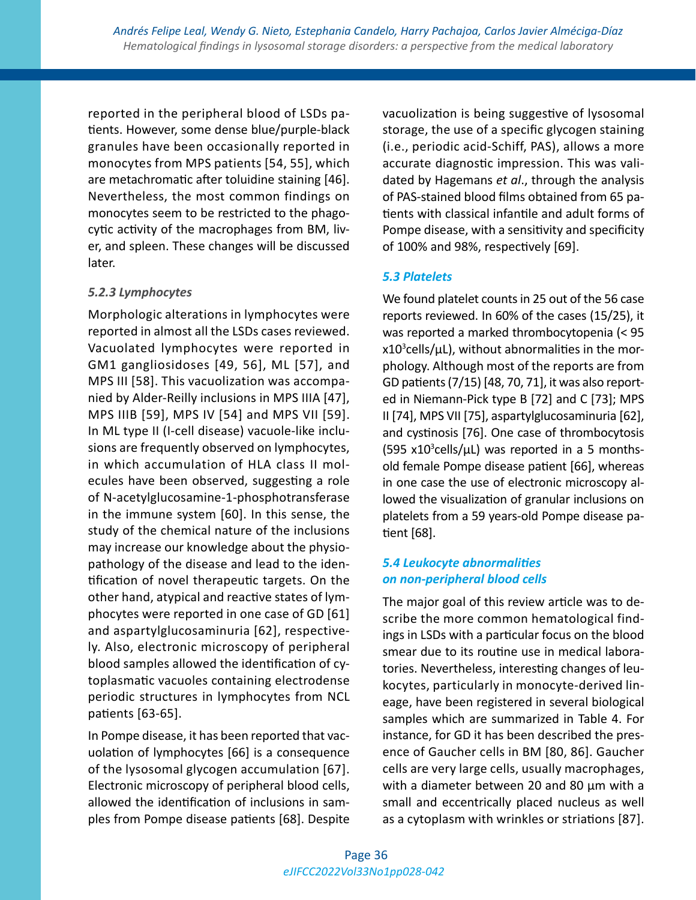reported in the peripheral blood of LSDs patients. However, some dense blue/purple-black granules have been occasionally reported in monocytes from MPS patients [54, 55], which are metachromatic after toluidine staining [46]. Nevertheless, the most common findings on monocytes seem to be restricted to the phagocytic activity of the macrophages from BM, liver, and spleen. These changes will be discussed later.

#### *5.2.3 Lymphocytes*

Morphologic alterations in lymphocytes were reported in almost all the LSDs cases reviewed. Vacuolated lymphocytes were reported in GM1 gangliosidoses [49, 56], ML [57], and MPS III [58]. This vacuolization was accompanied by Alder-Reilly inclusions in MPS IIIA [47], MPS IIIB [59], MPS IV [54] and MPS VII [59]. In ML type II (I-cell disease) vacuole-like inclusions are frequently observed on lymphocytes, in which accumulation of HLA class II molecules have been observed, suggesting a role of N-acetylglucosamine-1-phosphotransferase in the immune system [60]. In this sense, the study of the chemical nature of the inclusions may increase our knowledge about the physiopathology of the disease and lead to the identification of novel therapeutic targets. On the other hand, atypical and reactive states of lymphocytes were reported in one case of GD [61] and aspartylglucosaminuria [62], respectively. Also, electronic microscopy of peripheral blood samples allowed the identification of cytoplasmatic vacuoles containing electrodense periodic structures in lymphocytes from NCL patients [63-65].

In Pompe disease, it has been reported that vacuolation of lymphocytes [66] is a consequence of the lysosomal glycogen accumulation [67]. Electronic microscopy of peripheral blood cells, allowed the identification of inclusions in samples from Pompe disease patients [68]. Despite vacuolization is being suggestive of lysosomal storage, the use of a specific glycogen staining (i.e., periodic acid-Schiff, PAS), allows a more accurate diagnostic impression. This was validated by Hagemans *et al*., through the analysis of PAS-stained blood films obtained from 65 patients with classical infantile and adult forms of Pompe disease, with a sensitivity and specificity of 100% and 98%, respectively [69].

### *5.3 Platelets*

We found platelet counts in 25 out of the 56 case reports reviewed. In 60% of the cases (15/25), it was reported a marked thrombocytopenia (< 95  $x10^3$ cells/µL), without abnormalities in the morphology. Although most of the reports are from GD patients (7/15) [48, 70, 71], it was also reported in Niemann-Pick type B [72] and C [73]; MPS II [74], MPS VII [75], aspartylglucosaminuria [62], and cystinosis [76]. One case of thrombocytosis  $(595 x10<sup>3</sup>$ cells/µL) was reported in a 5 monthsold female Pompe disease patient [66], whereas in one case the use of electronic microscopy allowed the visualization of granular inclusions on platelets from a 59 years-old Pompe disease patient [68].

# *5.4 Leukocyte abnormalities on non-peripheral blood cells*

The major goal of this review article was to describe the more common hematological findings in LSDs with a particular focus on the blood smear due to its routine use in medical laboratories. Nevertheless, interesting changes of leukocytes, particularly in monocyte-derived lineage, have been registered in several biological samples which are summarized in Table 4. For instance, for GD it has been described the presence of Gaucher cells in BM [80, 86]. Gaucher cells are very large cells, usually macrophages, with a diameter between 20 and 80 µm with a small and eccentrically placed nucleus as well as a cytoplasm with wrinkles or striations [87].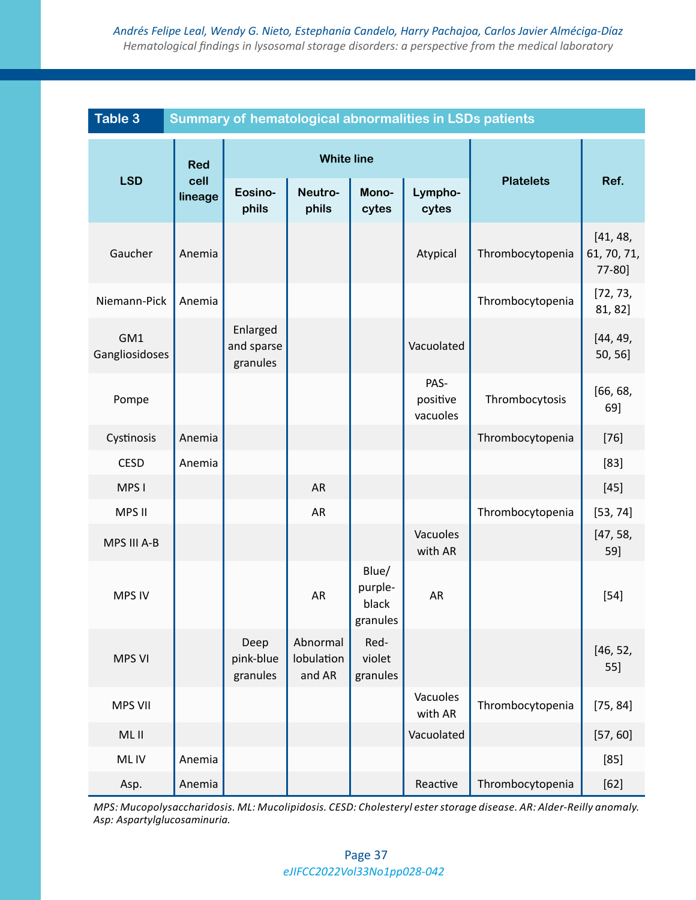| <b>Table 3</b><br>Summary of hematological abnormalities in LSDs patients |                               |                                    |                                  |                                       |                              |                  |                                   |
|---------------------------------------------------------------------------|-------------------------------|------------------------------------|----------------------------------|---------------------------------------|------------------------------|------------------|-----------------------------------|
|                                                                           | <b>Red</b><br>cell<br>lineage | <b>White line</b>                  |                                  |                                       |                              |                  |                                   |
| <b>LSD</b>                                                                |                               | Eosino-<br>phils                   | Neutro-<br>phils                 | Mono-<br>cytes                        | Lympho-<br>cytes             | <b>Platelets</b> | Ref.                              |
| Gaucher                                                                   | Anemia                        |                                    |                                  |                                       | Atypical                     | Thrombocytopenia | [41, 48,<br>61, 70, 71,<br>77-80] |
| Niemann-Pick                                                              | Anemia                        |                                    |                                  |                                       |                              | Thrombocytopenia | [72, 73,<br>81, 82]               |
| GM1<br>Gangliosidoses                                                     |                               | Enlarged<br>and sparse<br>granules |                                  |                                       | Vacuolated                   |                  | [44, 49,<br>50, 56]               |
| Pompe                                                                     |                               |                                    |                                  |                                       | PAS-<br>positive<br>vacuoles | Thrombocytosis   | [66, 68,<br>69]                   |
| Cystinosis                                                                | Anemia                        |                                    |                                  |                                       |                              | Thrombocytopenia | $[76]$                            |
| <b>CESD</b>                                                               | Anemia                        |                                    |                                  |                                       |                              |                  | $[83]$                            |
| MPS I                                                                     |                               |                                    | <b>AR</b>                        |                                       |                              |                  | $[45]$                            |
| MPS II                                                                    |                               |                                    | AR                               |                                       |                              | Thrombocytopenia | [53, 74]                          |
| MPS III A-B                                                               |                               |                                    |                                  |                                       | Vacuoles<br>with AR          |                  | [47, 58,<br>59]                   |
| <b>MPS IV</b>                                                             |                               |                                    | AR                               | Blue/<br>purple-<br>black<br>granules | <b>AR</b>                    |                  | $[54]$                            |
| <b>MPS VI</b>                                                             |                               | Deep<br>pink-blue<br>granules      | Abnormal<br>lobulation<br>and AR | Red-<br>violet<br>granules            |                              |                  | [46, 52,<br>55]                   |
| <b>MPS VII</b>                                                            |                               |                                    |                                  |                                       | Vacuoles<br>with AR          | Thrombocytopenia | [75, 84]                          |
| ML II                                                                     |                               |                                    |                                  |                                       | Vacuolated                   |                  | [57, 60]                          |
| ML IV                                                                     | Anemia                        |                                    |                                  |                                       |                              |                  | [85]                              |
| Asp.                                                                      | Anemia                        |                                    |                                  |                                       | Reactive                     | Thrombocytopenia | $[62]$                            |

*MPS: Mucopolysaccharidosis. ML: Mucolipidosis. CESD: Cholesteryl ester storage disease. AR: Alder-Reilly anomaly. Asp: Aspartylglucosaminuria.*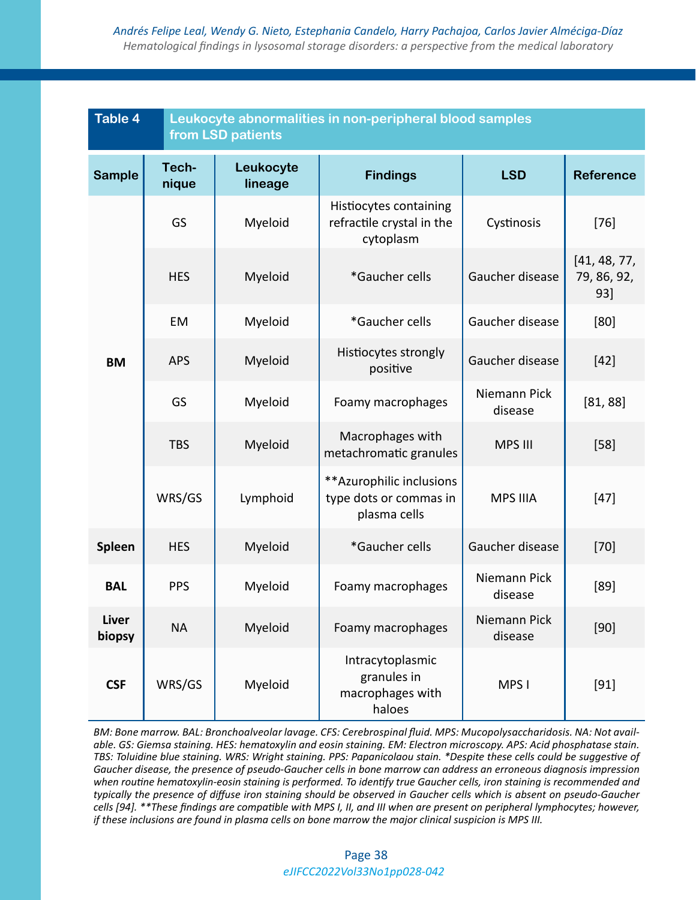| <b>Table 4</b>         | Leukocyte abnormalities in non-peripheral blood samples<br>from LSD patients |                      |                                                                     |                         |                                    |  |  |
|------------------------|------------------------------------------------------------------------------|----------------------|---------------------------------------------------------------------|-------------------------|------------------------------------|--|--|
| <b>Sample</b>          | Tech-<br>nique                                                               | Leukocyte<br>lineage | <b>Findings</b>                                                     | <b>LSD</b>              | <b>Reference</b>                   |  |  |
|                        | GS                                                                           | Myeloid              | Histiocytes containing<br>refractile crystal in the<br>cytoplasm    | Cystinosis              | $[76]$                             |  |  |
|                        | <b>HES</b>                                                                   | Myeloid              | *Gaucher cells                                                      | Gaucher disease         | [41, 48, 77,<br>79, 86, 92,<br>93] |  |  |
|                        | EM                                                                           | Myeloid              | *Gaucher cells                                                      | Gaucher disease         | [80]                               |  |  |
| <b>BM</b>              | <b>APS</b>                                                                   | Myeloid              | Histiocytes strongly<br>positive                                    | Gaucher disease         | $[42]$                             |  |  |
|                        | GS                                                                           | Myeloid              | Foamy macrophages                                                   | Niemann Pick<br>disease | [81, 88]                           |  |  |
|                        | <b>TBS</b>                                                                   | Myeloid              | Macrophages with<br>metachromatic granules                          | <b>MPS III</b>          | $[58]$                             |  |  |
|                        | WRS/GS                                                                       | Lymphoid             | ** Azurophilic inclusions<br>type dots or commas in<br>plasma cells | <b>MPS IIIA</b>         | $[47]$                             |  |  |
| Spleen                 | <b>HES</b>                                                                   | Myeloid              | *Gaucher cells                                                      | Gaucher disease         | $[70]$                             |  |  |
| <b>BAL</b>             | <b>PPS</b>                                                                   | Myeloid              | Foamy macrophages                                                   | Niemann Pick<br>disease | [89]                               |  |  |
| <b>Liver</b><br>biopsy | <b>NA</b>                                                                    | Myeloid              | Foamy macrophages                                                   | Niemann Pick<br>disease | [90]                               |  |  |
| <b>CSF</b>             | WRS/GS                                                                       | Myeloid              | Intracytoplasmic<br>granules in<br>macrophages with<br>haloes       | MPS I                   | $[91]$                             |  |  |

*BM: Bone marrow. BAL: Bronchoalveolar lavage. CFS: Cerebrospinal fluid. MPS: Mucopolysaccharidosis. NA: Not available. GS: Giemsa staining. HES: hematoxylin and eosin staining. EM: Electron microscopy. APS: Acid phosphatase stain. TBS: Toluidine blue staining. WRS: Wright staining. PPS: Papanicolaou stain. \*Despite these cells could be suggestive of Gaucher disease, the presence of pseudo-Gaucher cells in bone marrow can address an erroneous diagnosis impression when routine hematoxylin-eosin staining is performed. To identify true Gaucher cells, iron staining is recommended and typically the presence of diffuse iron staining should be observed in Gaucher cells which is absent on pseudo-Gaucher cells [94]. \*\*These findings are compatible with MPS I, II, and III when are present on peripheral lymphocytes; however, if these inclusions are found in plasma cells on bone marrow the major clinical suspicion is MPS III.*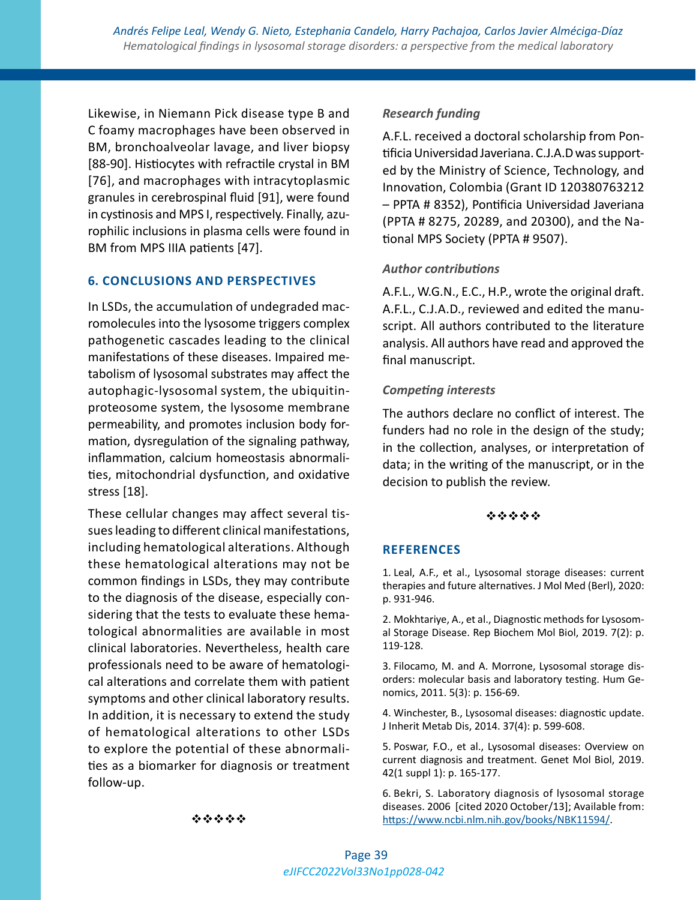Likewise, in Niemann Pick disease type B and C foamy macrophages have been observed in BM, bronchoalveolar lavage, and liver biopsy [88-90]. Histiocytes with refractile crystal in BM [76], and macrophages with intracytoplasmic granules in cerebrospinal fluid [91], were found in cystinosis and MPS I, respectively. Finally, azurophilic inclusions in plasma cells were found in BM from MPS IIIA patients [47].

#### **6. CONCLUSIONS AND PERSPECTIVES**

In LSDs, the accumulation of undegraded macromolecules into the lysosome triggers complex pathogenetic cascades leading to the clinical manifestations of these diseases. Impaired metabolism of lysosomal substrates may affect the autophagic-lysosomal system, the ubiquitinproteosome system, the lysosome membrane permeability, and promotes inclusion body formation, dysregulation of the signaling pathway, inflammation, calcium homeostasis abnormalities, mitochondrial dysfunction, and oxidative stress [18].

These cellular changes may affect several tissues leading to different clinical manifestations, including hematological alterations. Although these hematological alterations may not be common findings in LSDs, they may contribute to the diagnosis of the disease, especially considering that the tests to evaluate these hematological abnormalities are available in most clinical laboratories. Nevertheless, health care professionals need to be aware of hematological alterations and correlate them with patient symptoms and other clinical laboratory results. In addition, it is necessary to extend the study of hematological alterations to other LSDs to explore the potential of these abnormalities as a biomarker for diagnosis or treatment follow-up.

#### *Research funding*

A.F.L. received a doctoral scholarship from Pontificia Universidad Javeriana. C.J.A.D was supported by the Ministry of Science, Technology, and Innovation, Colombia (Grant ID 120380763212 – PPTA # 8352), Pontificia Universidad Javeriana (PPTA # 8275, 20289, and 20300), and the National MPS Society (PPTA # 9507).

### *Author contributions*

A.F.L., W.G.N., E.C., H.P., wrote the original draft. A.F.L., C.J.A.D., reviewed and edited the manuscript. All authors contributed to the literature analysis. All authors have read and approved the final manuscript.

#### *Competing interests*

The authors declare no conflict of interest. The funders had no role in the design of the study; in the collection, analyses, or interpretation of data; in the writing of the manuscript, or in the decision to publish the review.

#### \*\*\*\*\*

#### **REFERENCES**

1. Leal, A.F., et al., Lysosomal storage diseases: current therapies and future alternatives. J Mol Med (Berl), 2020: p. 931-946.

2. Mokhtariye, A., et al., Diagnostic methods for Lysosomal Storage Disease. Rep Biochem Mol Biol, 2019. 7(2): p. 119-128.

3. Filocamo, M. and A. Morrone, Lysosomal storage disorders: molecular basis and laboratory testing. Hum Genomics, 2011. 5(3): p. 156-69.

4. Winchester, B., Lysosomal diseases: diagnostic update. J Inherit Metab Dis, 2014. 37(4): p. 599-608.

5. Poswar, F.O., et al., Lysosomal diseases: Overview on current diagnosis and treatment. Genet Mol Biol, 2019. 42(1 suppl 1): p. 165-177.

6. Bekri, S. Laboratory diagnosis of lysosomal storage diseases. 2006 [cited 2020 October/13]; Available from: <https://www.ncbi.nlm.nih.gov/books/NBK11594/>.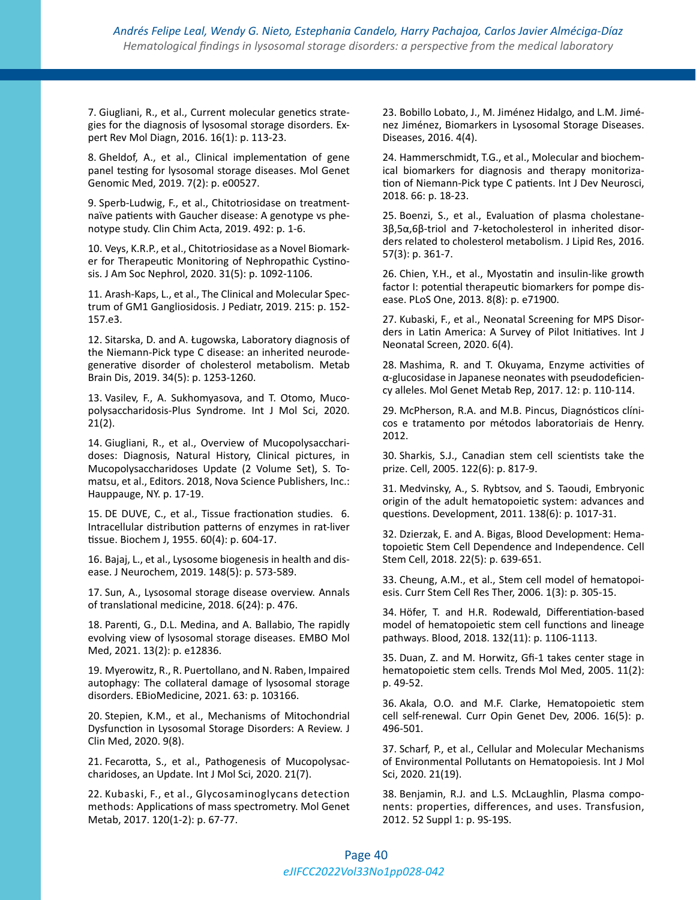7. Giugliani, R., et al., Current molecular genetics strategies for the diagnosis of lysosomal storage disorders. Expert Rev Mol Diagn, 2016. 16(1): p. 113-23.

8. Gheldof, A., et al., Clinical implementation of gene panel testing for lysosomal storage diseases. Mol Genet Genomic Med, 2019. 7(2): p. e00527.

9. Sperb-Ludwig, F., et al., Chitotriosidase on treatmentnaïve patients with Gaucher disease: A genotype vs phenotype study. Clin Chim Acta, 2019. 492: p. 1-6.

10. Veys, K.R.P., et al., Chitotriosidase as a Novel Biomarker for Therapeutic Monitoring of Nephropathic Cystinosis. J Am Soc Nephrol, 2020. 31(5): p. 1092-1106.

11. Arash-Kaps, L., et al., The Clinical and Molecular Spectrum of GM1 Gangliosidosis. J Pediatr, 2019. 215: p. 152- 157.e3.

12. Sitarska, D. and A. Ługowska, Laboratory diagnosis of the Niemann-Pick type C disease: an inherited neurodegenerative disorder of cholesterol metabolism. Metab Brain Dis, 2019. 34(5): p. 1253-1260.

13. Vasilev, F., A. Sukhomyasova, and T. Otomo, Mucopolysaccharidosis-Plus Syndrome. Int J Mol Sci, 2020. 21(2).

14. Giugliani, R., et al., Overview of Mucopolysaccharidoses: Diagnosis, Natural History, Clinical pictures, in Mucopolysaccharidoses Update (2 Volume Set), S. Tomatsu, et al., Editors. 2018, Nova Science Publishers, Inc.: Hauppauge, NY. p. 17-19.

15. DE DUVE, C., et al., Tissue fractionation studies. 6. Intracellular distribution patterns of enzymes in rat-liver tissue. Biochem J, 1955. 60(4): p. 604-17.

16. Bajaj, L., et al., Lysosome biogenesis in health and disease. J Neurochem, 2019. 148(5): p. 573-589.

17. Sun, A., Lysosomal storage disease overview. Annals of translational medicine, 2018. 6(24): p. 476.

18. Parenti, G., D.L. Medina, and A. Ballabio, The rapidly evolving view of lysosomal storage diseases. EMBO Mol Med, 2021. 13(2): p. e12836.

19. Myerowitz, R., R. Puertollano, and N. Raben, Impaired autophagy: The collateral damage of lysosomal storage disorders. EBioMedicine, 2021. 63: p. 103166.

20. Stepien, K.M., et al., Mechanisms of Mitochondrial Dysfunction in Lysosomal Storage Disorders: A Review. J Clin Med, 2020. 9(8).

21. Fecarotta, S., et al., Pathogenesis of Mucopolysaccharidoses, an Update. Int J Mol Sci, 2020. 21(7).

22. Kubaski, F., et al., Glycosaminoglycans detection methods: Applications of mass spectrometry. Mol Genet Metab, 2017. 120(1-2): p. 67-77.

23. Bobillo Lobato, J., M. Jiménez Hidalgo, and L.M. Jiménez Jiménez, Biomarkers in Lysosomal Storage Diseases. Diseases, 2016. 4(4).

24. Hammerschmidt, T.G., et al., Molecular and biochemical biomarkers for diagnosis and therapy monitorization of Niemann-Pick type C patients. Int J Dev Neurosci, 2018. 66: p. 18-23.

25. Boenzi, S., et al., Evaluation of plasma cholestane-3β,5α,6β-triol and 7-ketocholesterol in inherited disorders related to cholesterol metabolism. J Lipid Res, 2016. 57(3): p. 361-7.

26. Chien, Y.H., et al., Myostatin and insulin-like growth factor I: potential therapeutic biomarkers for pompe disease. PLoS One, 2013. 8(8): p. e71900.

27. Kubaski, F., et al., Neonatal Screening for MPS Disorders in Latin America: A Survey of Pilot Initiatives. Int J Neonatal Screen, 2020. 6(4).

28. Mashima, R. and T. Okuyama, Enzyme activities of α-glucosidase in Japanese neonates with pseudodeficiency alleles. Mol Genet Metab Rep, 2017. 12: p. 110-114.

29. McPherson, R.A. and M.B. Pincus, Diagnósticos clínicos e tratamento por métodos laboratoriais de Henry. 2012.

30. Sharkis, S.J., Canadian stem cell scientists take the prize. Cell, 2005. 122(6): p. 817-9.

31. Medvinsky, A., S. Rybtsov, and S. Taoudi, Embryonic origin of the adult hematopoietic system: advances and questions. Development, 2011. 138(6): p. 1017-31.

32. Dzierzak, E. and A. Bigas, Blood Development: Hematopoietic Stem Cell Dependence and Independence. Cell Stem Cell, 2018. 22(5): p. 639-651.

33. Cheung, A.M., et al., Stem cell model of hematopoiesis. Curr Stem Cell Res Ther, 2006. 1(3): p. 305-15.

34. Höfer, T. and H.R. Rodewald, Differentiation-based model of hematopoietic stem cell functions and lineage pathways. Blood, 2018. 132(11): p. 1106-1113.

35. Duan, Z. and M. Horwitz, Gfi-1 takes center stage in hematopoietic stem cells. Trends Mol Med, 2005. 11(2): p. 49-52.

36. Akala, O.O. and M.F. Clarke, Hematopoietic stem cell self-renewal. Curr Opin Genet Dev, 2006. 16(5): p. 496-501.

37. Scharf, P., et al., Cellular and Molecular Mechanisms of Environmental Pollutants on Hematopoiesis. Int J Mol Sci, 2020. 21(19).

38. Benjamin, R.J. and L.S. McLaughlin, Plasma components: properties, differences, and uses. Transfusion, 2012. 52 Suppl 1: p. 9S-19S.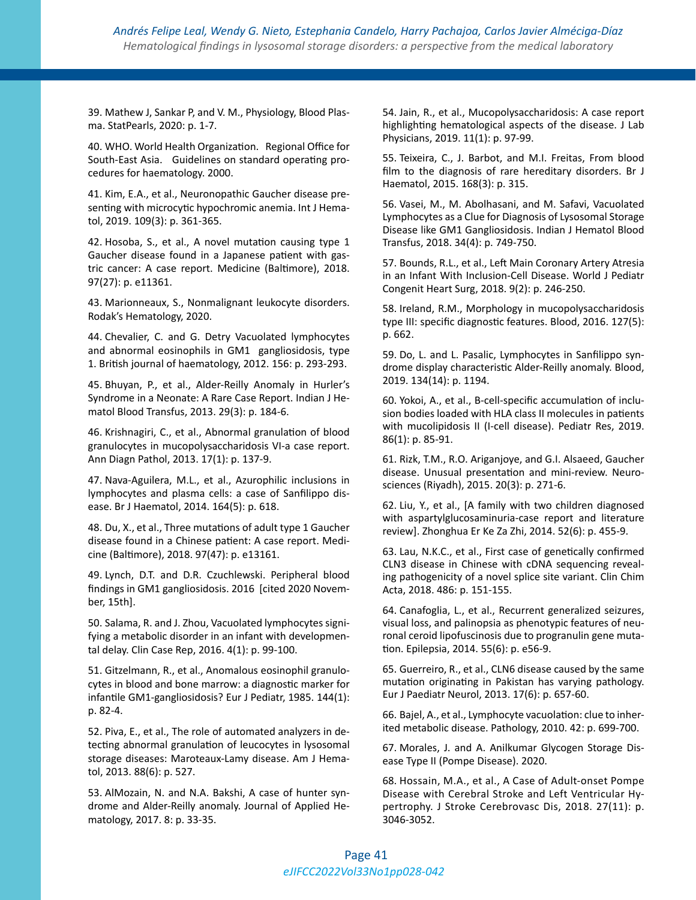39. Mathew J, Sankar P, and V. M., Physiology, Blood Plasma. StatPearls, 2020: p. 1-7.

40. WHO. World Health Organization. Regional Office for South-East Asia. Guidelines on standard operating procedures for haematology. 2000.

41. Kim, E.A., et al., Neuronopathic Gaucher disease presenting with microcytic hypochromic anemia. Int J Hematol, 2019. 109(3): p. 361-365.

42. Hosoba, S., et al., A novel mutation causing type 1 Gaucher disease found in a Japanese patient with gastric cancer: A case report. Medicine (Baltimore), 2018. 97(27): p. e11361.

43. Marionneaux, S., Nonmalignant leukocyte disorders. Rodak's Hematology, 2020.

44. Chevalier, C. and G. Detry Vacuolated lymphocytes and abnormal eosinophils in GM1 gangliosidosis, type 1. British journal of haematology, 2012. 156: p. 293-293.

45. Bhuyan, P., et al., Alder-Reilly Anomaly in Hurler's Syndrome in a Neonate: A Rare Case Report. Indian J Hematol Blood Transfus, 2013. 29(3): p. 184-6.

46. Krishnagiri, C., et al., Abnormal granulation of blood granulocytes in mucopolysaccharidosis VI-a case report. Ann Diagn Pathol, 2013. 17(1): p. 137-9.

47. Nava-Aguilera, M.L., et al., Azurophilic inclusions in lymphocytes and plasma cells: a case of Sanfilippo disease. Br J Haematol, 2014. 164(5): p. 618.

48. Du, X., et al., Three mutations of adult type 1 Gaucher disease found in a Chinese patient: A case report. Medicine (Baltimore), 2018. 97(47): p. e13161.

49. Lynch, D.T. and D.R. Czuchlewski. Peripheral blood findings in GM1 gangliosidosis. 2016 [cited 2020 November, 15th].

50. Salama, R. and J. Zhou, Vacuolated lymphocytes signifying a metabolic disorder in an infant with developmental delay. Clin Case Rep, 2016. 4(1): p. 99-100.

51. Gitzelmann, R., et al., Anomalous eosinophil granulocytes in blood and bone marrow: a diagnostic marker for infantile GM1-gangliosidosis? Eur J Pediatr, 1985. 144(1): p. 82-4.

52. Piva, E., et al., The role of automated analyzers in detecting abnormal granulation of leucocytes in lysosomal storage diseases: Maroteaux-Lamy disease. Am J Hematol, 2013. 88(6): p. 527.

53. AlMozain, N. and N.A. Bakshi, A case of hunter syndrome and Alder-Reilly anomaly. Journal of Applied Hematology, 2017. 8: p. 33-35.

54. Jain, R., et al., Mucopolysaccharidosis: A case report highlighting hematological aspects of the disease. J Lab Physicians, 2019. 11(1): p. 97-99.

55. Teixeira, C., J. Barbot, and M.I. Freitas, From blood film to the diagnosis of rare hereditary disorders. Br J Haematol, 2015. 168(3): p. 315.

56. Vasei, M., M. Abolhasani, and M. Safavi, Vacuolated Lymphocytes as a Clue for Diagnosis of Lysosomal Storage Disease like GM1 Gangliosidosis. Indian J Hematol Blood Transfus, 2018. 34(4): p. 749-750.

57. Bounds, R.L., et al., Left Main Coronary Artery Atresia in an Infant With Inclusion-Cell Disease. World J Pediatr Congenit Heart Surg, 2018. 9(2): p. 246-250.

58. Ireland, R.M., Morphology in mucopolysaccharidosis type III: specific diagnostic features. Blood, 2016. 127(5): p. 662.

59. Do, L. and L. Pasalic, Lymphocytes in Sanfilippo syndrome display characteristic Alder-Reilly anomaly. Blood, 2019. 134(14): p. 1194.

60. Yokoi, A., et al., B-cell-specific accumulation of inclusion bodies loaded with HLA class II molecules in patients with mucolipidosis II (I-cell disease). Pediatr Res, 2019. 86(1): p. 85-91.

61. Rizk, T.M., R.O. Ariganjoye, and G.I. Alsaeed, Gaucher disease. Unusual presentation and mini-review. Neurosciences (Riyadh), 2015. 20(3): p. 271-6.

62. Liu, Y., et al., [A family with two children diagnosed with aspartylglucosaminuria-case report and literature review]. Zhonghua Er Ke Za Zhi, 2014. 52(6): p. 455-9.

63. Lau, N.K.C., et al., First case of genetically confirmed CLN3 disease in Chinese with cDNA sequencing revealing pathogenicity of a novel splice site variant. Clin Chim Acta, 2018. 486: p. 151-155.

64. Canafoglia, L., et al., Recurrent generalized seizures, visual loss, and palinopsia as phenotypic features of neuronal ceroid lipofuscinosis due to progranulin gene mutation. Epilepsia, 2014. 55(6): p. e56-9.

65. Guerreiro, R., et al., CLN6 disease caused by the same mutation originating in Pakistan has varying pathology. Eur J Paediatr Neurol, 2013. 17(6): p. 657-60.

66. Bajel, A., et al., Lymphocyte vacuolation: clue to inherited metabolic disease. Pathology, 2010. 42: p. 699-700.

67. Morales, J. and A. Anilkumar Glycogen Storage Disease Type II (Pompe Disease). 2020.

68. Hossain, M.A., et al., A Case of Adult-onset Pompe Disease with Cerebral Stroke and Left Ventricular Hypertrophy. J Stroke Cerebrovasc Dis, 2018. 27(11): p. 3046-3052.